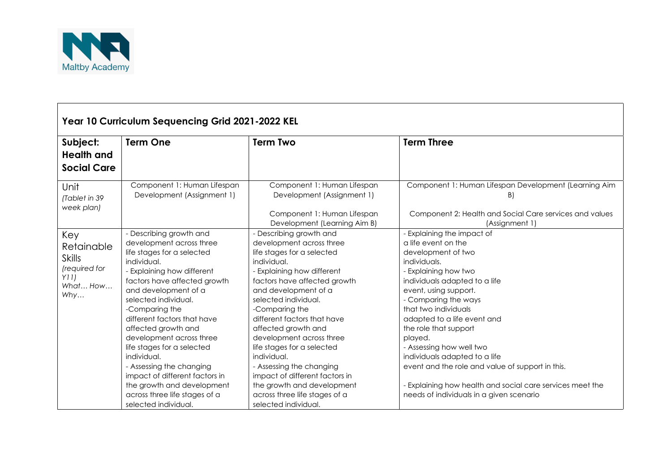

| Year 10 Curriculum Sequencing Grid 2021-2022 KEL                               |                                                                                                                                                                                                                                                                                                                                                                                                                                                                                                                    |                                                                                                                                                                                                                                                                                                                                                                                                                                                                                                                      |                                                                                                                                                                                                                                                                                                                                                                                                                                                                                                                        |  |  |  |
|--------------------------------------------------------------------------------|--------------------------------------------------------------------------------------------------------------------------------------------------------------------------------------------------------------------------------------------------------------------------------------------------------------------------------------------------------------------------------------------------------------------------------------------------------------------------------------------------------------------|----------------------------------------------------------------------------------------------------------------------------------------------------------------------------------------------------------------------------------------------------------------------------------------------------------------------------------------------------------------------------------------------------------------------------------------------------------------------------------------------------------------------|------------------------------------------------------------------------------------------------------------------------------------------------------------------------------------------------------------------------------------------------------------------------------------------------------------------------------------------------------------------------------------------------------------------------------------------------------------------------------------------------------------------------|--|--|--|
| Subject:<br><b>Health and</b><br><b>Social Care</b>                            | <b>Term One</b>                                                                                                                                                                                                                                                                                                                                                                                                                                                                                                    | <b>Term Two</b>                                                                                                                                                                                                                                                                                                                                                                                                                                                                                                      | <b>Term Three</b>                                                                                                                                                                                                                                                                                                                                                                                                                                                                                                      |  |  |  |
| Unit<br>(Tablet in 39<br>week plan)                                            | Component 1: Human Lifespan<br>Development (Assignment 1)                                                                                                                                                                                                                                                                                                                                                                                                                                                          | Component 1: Human Lifespan<br>Development (Assignment 1)<br>Component 1: Human Lifespan<br>Development (Learning Aim B)                                                                                                                                                                                                                                                                                                                                                                                             | Component 1: Human Lifespan Development (Learning Aim<br>B)<br>Component 2: Health and Social Care services and values<br>(Assignment 1)                                                                                                                                                                                                                                                                                                                                                                               |  |  |  |
| Key<br>Retainable<br><b>Skills</b><br>(required for<br>Y11)<br>What How<br>Why | - Describing growth and<br>development across three<br>life stages for a selected<br>individual.<br>Explaining how different<br>factors have affected growth<br>and development of a<br>selected individual.<br>-Comparing the<br>different factors that have<br>affected growth and<br>development across three<br>life stages for a selected<br>individual.<br>- Assessing the changing<br>impact of different factors in<br>the growth and development<br>across three life stages of a<br>selected individual. | - Describing growth and<br>development across three<br>life stages for a selected<br>individual.<br>- Explaining how different<br>factors have affected growth<br>and development of a<br>selected individual.<br>-Comparing the<br>different factors that have<br>affected growth and<br>development across three<br>life stages for a selected<br>individual.<br>- Assessing the changing<br>impact of different factors in<br>the growth and development<br>across three life stages of a<br>selected individual. | - Explaining the impact of<br>a life event on the<br>development of two<br>individuals.<br>- Explaining how two<br>individuals adapted to a life<br>event, using support.<br>- Comparing the ways<br>that two individuals<br>adapted to a life event and<br>the role that support<br>played.<br>- Assessing how well two<br>individuals adapted to a life<br>event and the role and value of support in this.<br>- Explaining how health and social care services meet the<br>needs of individuals in a given scenario |  |  |  |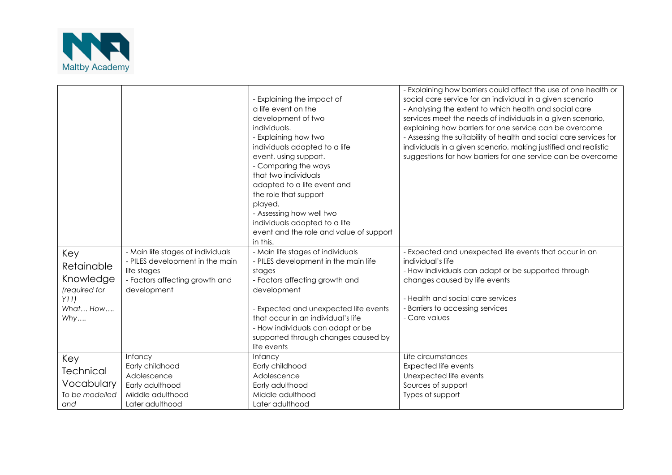

| Key<br>Retainable<br>Knowledge | - Main life stages of individuals<br>- PILES development in the main<br>life stages<br>- Factors affecting growth and | - Explaining the impact of<br>a life event on the<br>development of two<br>individuals.<br>- Explaining how two<br>individuals adapted to a life<br>event, using support.<br>- Comparing the ways<br>that two individuals<br>adapted to a life event and<br>the role that support<br>played.<br>- Assessing how well two<br>individuals adapted to a life<br>event and the role and value of support<br>in this.<br>- Main life stages of individuals<br>- PILES development in the main life<br>stages<br>- Factors affecting growth and | - Explaining how barriers could affect the use of one health or<br>social care service for an individual in a given scenario<br>- Analysing the extent to which health and social care<br>services meet the needs of individuals in a given scenario,<br>explaining how barriers for one service can be overcome<br>- Assessing the suitability of health and social care services for<br>individuals in a given scenario, making justified and realistic<br>suggestions for how barriers for one service can be overcome<br>- Expected and unexpected life events that occur in an<br>individual's life<br>- How individuals can adapt or be supported through<br>changes caused by life events |
|--------------------------------|-----------------------------------------------------------------------------------------------------------------------|-------------------------------------------------------------------------------------------------------------------------------------------------------------------------------------------------------------------------------------------------------------------------------------------------------------------------------------------------------------------------------------------------------------------------------------------------------------------------------------------------------------------------------------------|--------------------------------------------------------------------------------------------------------------------------------------------------------------------------------------------------------------------------------------------------------------------------------------------------------------------------------------------------------------------------------------------------------------------------------------------------------------------------------------------------------------------------------------------------------------------------------------------------------------------------------------------------------------------------------------------------|
|                                |                                                                                                                       |                                                                                                                                                                                                                                                                                                                                                                                                                                                                                                                                           |                                                                                                                                                                                                                                                                                                                                                                                                                                                                                                                                                                                                                                                                                                  |
| (required for                  | development                                                                                                           | development                                                                                                                                                                                                                                                                                                                                                                                                                                                                                                                               |                                                                                                                                                                                                                                                                                                                                                                                                                                                                                                                                                                                                                                                                                                  |
| Y11)                           |                                                                                                                       |                                                                                                                                                                                                                                                                                                                                                                                                                                                                                                                                           | - Health and social care services                                                                                                                                                                                                                                                                                                                                                                                                                                                                                                                                                                                                                                                                |
| What How                       |                                                                                                                       | - Expected and unexpected life events<br>that occur in an individual's life                                                                                                                                                                                                                                                                                                                                                                                                                                                               | - Barriers to accessing services<br>- Care values                                                                                                                                                                                                                                                                                                                                                                                                                                                                                                                                                                                                                                                |
| Why                            |                                                                                                                       | - How individuals can adapt or be                                                                                                                                                                                                                                                                                                                                                                                                                                                                                                         |                                                                                                                                                                                                                                                                                                                                                                                                                                                                                                                                                                                                                                                                                                  |
|                                |                                                                                                                       | supported through changes caused by                                                                                                                                                                                                                                                                                                                                                                                                                                                                                                       |                                                                                                                                                                                                                                                                                                                                                                                                                                                                                                                                                                                                                                                                                                  |
|                                |                                                                                                                       | life events                                                                                                                                                                                                                                                                                                                                                                                                                                                                                                                               |                                                                                                                                                                                                                                                                                                                                                                                                                                                                                                                                                                                                                                                                                                  |
| Key                            | <b>Infancy</b>                                                                                                        | <b>Infancy</b>                                                                                                                                                                                                                                                                                                                                                                                                                                                                                                                            | Life circumstances                                                                                                                                                                                                                                                                                                                                                                                                                                                                                                                                                                                                                                                                               |
| <b>Technical</b>               | Early childhood                                                                                                       | Early childhood                                                                                                                                                                                                                                                                                                                                                                                                                                                                                                                           | <b>Expected life events</b>                                                                                                                                                                                                                                                                                                                                                                                                                                                                                                                                                                                                                                                                      |
|                                | Adolescence                                                                                                           | Adolescence                                                                                                                                                                                                                                                                                                                                                                                                                                                                                                                               | Unexpected life events                                                                                                                                                                                                                                                                                                                                                                                                                                                                                                                                                                                                                                                                           |
| Vocabulary                     | Early adulthood                                                                                                       | Early adulthood                                                                                                                                                                                                                                                                                                                                                                                                                                                                                                                           | Sources of support                                                                                                                                                                                                                                                                                                                                                                                                                                                                                                                                                                                                                                                                               |
| To be modelled                 | Middle adulthood                                                                                                      | Middle adulthood                                                                                                                                                                                                                                                                                                                                                                                                                                                                                                                          | Types of support                                                                                                                                                                                                                                                                                                                                                                                                                                                                                                                                                                                                                                                                                 |
| and                            | Later adulthood                                                                                                       | Later adulthood                                                                                                                                                                                                                                                                                                                                                                                                                                                                                                                           |                                                                                                                                                                                                                                                                                                                                                                                                                                                                                                                                                                                                                                                                                                  |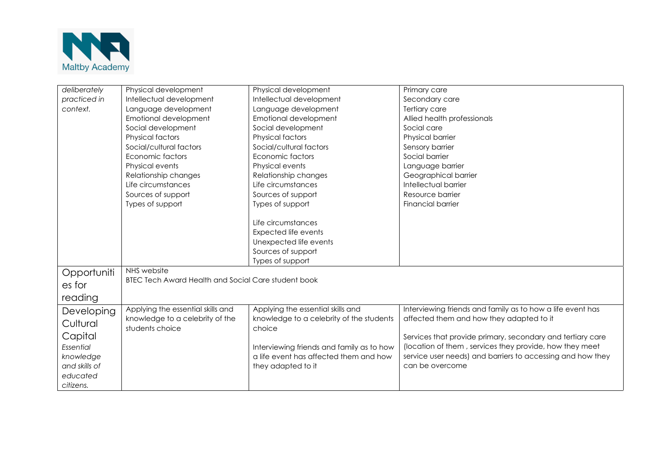

| deliberately  | Physical development                                       | Physical development                      | Primary care                                               |  |
|---------------|------------------------------------------------------------|-------------------------------------------|------------------------------------------------------------|--|
| practiced in  | Intellectual development                                   | Intellectual development                  | Secondary care                                             |  |
| context.      | Language development                                       | Language development                      | Tertiary care                                              |  |
|               | Emotional development                                      | Emotional development                     | Allied health professionals                                |  |
|               | Social development                                         | Social development                        | Social care                                                |  |
|               | Physical factors                                           | Physical factors                          | Physical barrier                                           |  |
|               | Social/cultural factors                                    | Social/cultural factors                   | Sensory barrier                                            |  |
|               | Economic factors                                           | Economic factors                          | Social barrier                                             |  |
|               | Physical events                                            | Physical events                           | Language barrier                                           |  |
|               | Relationship changes                                       | Relationship changes                      | Geographical barrier                                       |  |
|               | Life circumstances                                         | Life circumstances                        | Intellectual barrier                                       |  |
|               | Sources of support                                         | Sources of support                        | Resource barrier                                           |  |
|               | Types of support                                           | Types of support                          | Financial barrier                                          |  |
|               |                                                            |                                           |                                                            |  |
|               |                                                            | Life circumstances                        |                                                            |  |
|               |                                                            | <b>Expected life events</b>               |                                                            |  |
|               |                                                            | Unexpected life events                    |                                                            |  |
|               |                                                            | Sources of support                        |                                                            |  |
|               |                                                            | Types of support                          |                                                            |  |
| Opportuniti   | NHS website                                                |                                           |                                                            |  |
| es for        | <b>BTEC Tech Award Health and Social Care student book</b> |                                           |                                                            |  |
|               |                                                            |                                           |                                                            |  |
| reading       |                                                            |                                           |                                                            |  |
| Developing    | Applying the essential skills and                          | Applying the essential skills and         | Interviewing friends and family as to how a life event has |  |
| Cultural      | knowledge to a celebrity of the                            | knowledge to a celebrity of the students  | affected them and how they adapted to it                   |  |
|               | students choice                                            | choice                                    |                                                            |  |
| Capital       |                                                            |                                           | Services that provide primary, secondary and tertiary care |  |
| Essential     |                                                            | Interviewing friends and family as to how | (location of them, services they provide, how they meet    |  |
| knowledge     |                                                            | a life event has affected them and how    | service user needs) and barriers to accessing and how they |  |
| and skills of |                                                            | they adapted to it                        | can be overcome                                            |  |
| educated      |                                                            |                                           |                                                            |  |
| citizens.     |                                                            |                                           |                                                            |  |